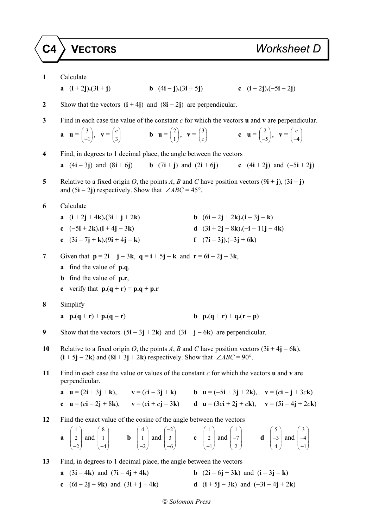## **C4 VECTORS** *Worksheet D*

- **1** Calculate **a**  $(i + 2j) \cdot (3i + j)$  **b**  $(4i - j) \cdot (3i + 5j)$  **c**  $(i - 2j) \cdot (-5i - 2j)$ **2** Show that the vectors (**i** + 4**j**) and (8**i** − 2**j**) are perpendicular. **3** Find in each case the value of the constant *c* for which the vectors **u** and **v** are perpendicular. **a u** =  $\begin{pmatrix} 3 \end{pmatrix}$  $\begin{pmatrix} 3 \\ -1 \end{pmatrix}$ ,  $\mathbf{v} = \begin{pmatrix} c \\ 3 \end{pmatrix}$  *c*  $\begin{pmatrix} c \\ 3 \end{pmatrix}$  **b u** =  $\begin{pmatrix} 2 \\ 1 \end{pmatrix}$  $\begin{pmatrix} 2 \\ 1 \end{pmatrix}$ ,  $\mathbf{v} = \begin{pmatrix} 3 \\ c \end{pmatrix}$  $\begin{pmatrix} 3 \\ c \end{pmatrix}$  **c u** =  $\begin{pmatrix} 2 \\ -3 \end{pmatrix}$  $\begin{pmatrix} 2 \\ -5 \end{pmatrix}$ ,  $\mathbf{v} = \begin{pmatrix} c \\ -4 \end{pmatrix}$ *c*)  $\begin{pmatrix} -4 \end{pmatrix}$ **4** Find, in degrees to 1 decimal place, the angle between the vectors **a**  $(4\mathbf{i} - 3\mathbf{j})$  and  $(8\mathbf{i} + 6\mathbf{j})$  **b**  $(7\mathbf{i} + \mathbf{j})$  and  $(2\mathbf{i} + 6\mathbf{j})$  **c**  $(4\mathbf{i} + 2\mathbf{j})$  and  $(-5\mathbf{i} + 2\mathbf{j})$ **5** Relative to a fixed origin *O*, the points *A*, *B* and *C* have position vectors  $(9\mathbf{i} + \mathbf{j})$ ,  $(3\mathbf{i} - \mathbf{j})$ and  $(5i – 2j)$  respectively. Show that ∠*ABC* = 45°. **6** Calculate **a**  $(i + 2j + 4k)$ **.** $(3i + j + 2k)$  **b**  $(6i - 2j + 2k)$ **.** $(i - 3j - k)$ **c**  $(-5\mathbf{i} + 2\mathbf{k})\cdot(\mathbf{i} + 4\mathbf{j} - 3\mathbf{k})$  **d**  $(3\mathbf{i} + 2\mathbf{j} - 8\mathbf{k})\cdot(-\mathbf{i} + 11\mathbf{j} - 4\mathbf{k})$ **e**  $(3\mathbf{i} - 7\mathbf{j} + \mathbf{k})$ . $(9\mathbf{i} + 4\mathbf{j} - \mathbf{k})$  **f**  $(7\mathbf{i} - 3\mathbf{j})$ . $(-3\mathbf{j} + 6\mathbf{k})$ **7** Given that  $p = 2i + j - 3k$ ,  $q = i + 5j - k$  and  $r = 6i - 2j - 3k$ , **a** find the value of **p.q**, **b** find the value of **p.r**, **c** verify that  $\mathbf{p} \cdot (\mathbf{q} + \mathbf{r}) = \mathbf{p} \cdot \mathbf{q} + \mathbf{p} \cdot \mathbf{r}$ **8** Simplify **a p.**(**q** + **r**) + **p.**(**q** − **r**) **b p.**(**q** + **r**) + **q.**(**r** − **p**) **9** Show that the vectors (5**i** − 3**j** + 2**k**) and (3**i** + **j** − 6**k**) are perpendicular. **10** Relative to a fixed origin *O*, the points *A*, *B* and *C* have position vectors (3**i** + 4**j** − 6**k**),  $(i + 5j - 2k)$  and  $(8i + 3j + 2k)$  respectively. Show that ∠*ABC* = 90°. **11** Find in each case the value or values of the constant *c* for which the vectors **u** and **v** are perpendicular. **a**  $u = (2i + 3j + k)$ ,  $v = (c i - 3j + k)$  **b**  $u = (-5i + 3j + 2k)$ ,  $v = (c i - j + 3c k)$ **c**  $u = (c\mathbf{i} - 2\mathbf{j} + 8\mathbf{k})$ ,  $v = (c\mathbf{i} + c\mathbf{j} - 3\mathbf{k})$  **d**  $u = (3c\mathbf{i} + 2\mathbf{j} + c\mathbf{k})$ ,  $v = (5\mathbf{i} - 4\mathbf{j} + 2c\mathbf{k})$ **12** Find the exact value of the cosine of the angle between the vectors **a** 1 2  $\begin{pmatrix} 1 \\ 2 \\ -2 \end{pmatrix}$  and 8 1  $\begin{pmatrix} 8 \\ 1 \\ -4 \end{pmatrix}$ **b** 4 1  $\begin{pmatrix} 4 \\ 1 \\ -2 \end{pmatrix}$  and 2 3 6  $(-2)$  $\begin{bmatrix} 3 \\ -6 \end{bmatrix}$  c 1 2  $\begin{pmatrix} 1 \\ 2 \\ -1 \end{pmatrix}$  and 1 7 2  $\begin{pmatrix} 1 \\ 2 \end{pmatrix}$  $\begin{pmatrix} -7 \\ 2 \end{pmatrix}$  **d** 5 3 4  $\begin{pmatrix} 5 \\ 2 \end{pmatrix}$  $\begin{pmatrix} -3 \\ 4 \end{pmatrix}$  and 3 4 1  $\begin{pmatrix} 3 \\ 4 \end{pmatrix}$  $\begin{pmatrix} -4 \\ -1 \end{pmatrix}$ **13** Find, in degrees to 1 decimal place, the angle between the vectors **a**  $(3\mathbf{i} - 4\mathbf{k})$  and  $(7\mathbf{i} - 4\mathbf{j} + 4\mathbf{k})$  **b**  $(2\mathbf{i} - 6\mathbf{j} + 3\mathbf{k})$  and  $(\mathbf{i} - 3\mathbf{j} - \mathbf{k})$ 
	- **c**  $(6i 2j 9k)$  and  $(3i + j + 4k)$  **d**  $(i + 5j 3k)$  and  $(-3i 4j + 2k)$